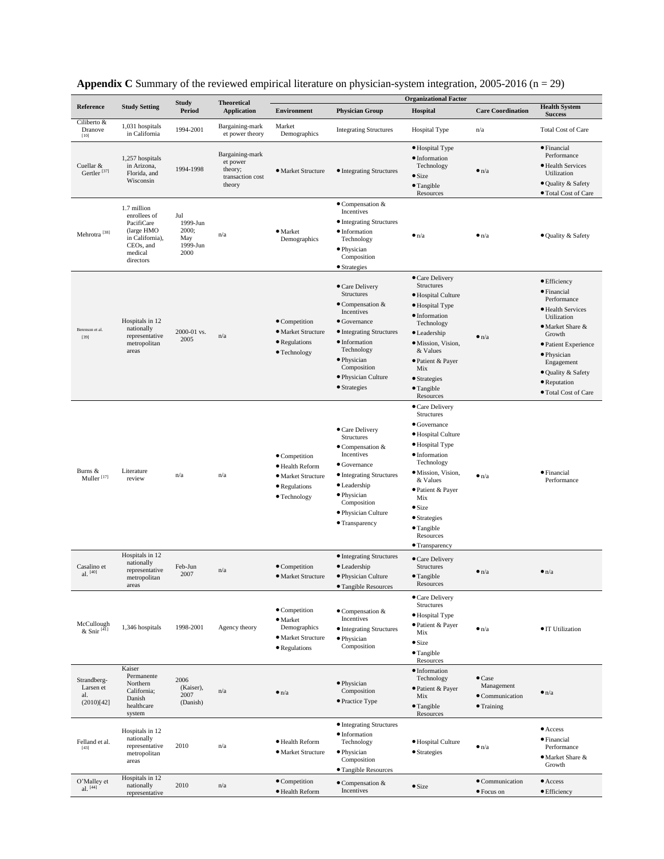|                                               |                                                                                                                 | <b>Study</b>                                        | <b>Theoretical</b>                                                   |                                                                                                         |                                                                                                                                                                                                                                         | <b>Organizational Factor</b>                                                                                                                                                                                                                                                               |                                                                               |                                                                                                                                                                                                                                         |
|-----------------------------------------------|-----------------------------------------------------------------------------------------------------------------|-----------------------------------------------------|----------------------------------------------------------------------|---------------------------------------------------------------------------------------------------------|-----------------------------------------------------------------------------------------------------------------------------------------------------------------------------------------------------------------------------------------|--------------------------------------------------------------------------------------------------------------------------------------------------------------------------------------------------------------------------------------------------------------------------------------------|-------------------------------------------------------------------------------|-----------------------------------------------------------------------------------------------------------------------------------------------------------------------------------------------------------------------------------------|
| Reference                                     | <b>Study Setting</b>                                                                                            | <b>Period</b>                                       | <b>Application</b>                                                   | <b>Environment</b>                                                                                      | <b>Physician Group</b>                                                                                                                                                                                                                  | <b>Hospital</b>                                                                                                                                                                                                                                                                            | <b>Care Coordination</b>                                                      | <b>Health System</b><br><b>Success</b>                                                                                                                                                                                                  |
| Ciliberto &<br>Dranove<br>$[10]$              | 1,031 hospitals<br>in California                                                                                | 1994-2001                                           | Bargaining-mark<br>et power theory                                   | Market<br>Demographics                                                                                  | <b>Integrating Structures</b>                                                                                                                                                                                                           | Hospital Type                                                                                                                                                                                                                                                                              | n/a                                                                           | <b>Total Cost of Care</b>                                                                                                                                                                                                               |
| Cuellar &<br>Gertler <sup>[37]</sup>          | 1,257 hospitals<br>in Arizona,<br>Florida, and<br>Wisconsin                                                     | 1994-1998                                           | Bargaining-mark<br>et power<br>theory;<br>transaction cost<br>theory | • Market Structure                                                                                      | • Integrating Structures                                                                                                                                                                                                                | • Hospital Type<br>• Information<br>Technology<br>$\bullet$ Size<br>$\bullet$ Tangible<br>Resources                                                                                                                                                                                        | $\bullet$ n/a                                                                 | • Financial<br>Performance<br>· Health Services<br>Utilization<br>● Quality & Safety<br>● Total Cost of Care                                                                                                                            |
| Mehrotra $^{\rm [38]}$                        | 1.7 million<br>enrollees of<br>PacifiCare<br>(large HMO<br>in California),<br>CEOs, and<br>medical<br>directors | Jul<br>1999-Jun<br>2000;<br>May<br>1999-Jun<br>2000 | n/a                                                                  | $•$ Market<br>Demographics                                                                              | $\bullet$ Compensation &<br>Incentives<br>• Integrating Structures<br>• Information<br>Technology<br>• Physician<br>Composition<br>• Strategies                                                                                         | $\bullet$ n/a                                                                                                                                                                                                                                                                              | $\bullet$ n/a                                                                 | ● Quality & Safety                                                                                                                                                                                                                      |
| Berenson et al.<br>[39]                       | Hospitals in 12<br>nationally<br>representative<br>metropolitan<br>areas                                        | 2000-01 vs.<br>2005                                 | n/a                                                                  | $\bullet$ Competition<br>• Market Structure<br>• Regulations<br>$\bullet$ Technology                    | • Care Delivery<br>Structures<br>$\bullet$ Compensation &<br>Incentives<br>$\bullet$ Governance<br>• Integrating Structures<br>$\bullet$ Information<br>Technology<br>• Physician<br>Composition<br>· Physician Culture<br>• Strategies | • Care Delivery<br>Structures<br>· Hospital Culture<br>• Hospital Type<br>· Information<br>Technology<br>• Leadership<br>· Mission, Vision,<br>& Values<br>· Patient & Payer<br>Mix<br>• Strategies<br>$\bullet$ Tangible<br>Resources                                                     | $\bullet$ n/a                                                                 | ● Efficiency<br>• Financial<br>Performance<br>· Health Services<br>Utilization<br>$\bullet$ Market Share &<br>Growth<br>• Patient Experience<br>· Physician<br>Engagement<br>● Quality & Safety<br>• Reputation<br>● Total Cost of Care |
| Burns &<br>Muller <sup>[17]</sup>             | Literature<br>review                                                                                            | n/a                                                 | n/a                                                                  | $\bullet$ Competition<br>· Health Reform<br>• Market Structure<br>• Regulations<br>$\bullet$ Technology | • Care Delivery<br>Structures<br>$\bullet$ Compensation &<br>Incentives<br>$\bullet$ Governance<br>• Integrating Structures<br>$\bullet$ Leadership<br>· Physician<br>Composition<br>· Physician Culture<br>$\bullet$ Transparency      | • Care Delivery<br>Structures<br>$\bullet$ Governance<br>• Hospital Culture<br>• Hospital Type<br>$\bullet$ Information<br>Technology<br>· Mission, Vision,<br>& Values<br>● Patient & Payer<br>Mix<br>$\bullet$ Size<br>• Strategies<br>$\bullet$ Tangible<br>Resources<br>• Transparency | $\bullet$ n/a                                                                 | • Financial<br>Performance                                                                                                                                                                                                              |
| Casalino et<br>al. [40]                       | Hospitals in 12<br>nationally<br>representative<br>metropolitan<br>areas                                        | Feb-Jun<br>2007                                     | n/a                                                                  | $\bullet$ Competition<br>• Market Structure                                                             | • Integrating Structures<br>$\bullet$ Leadership<br>· Physician Culture<br>• Tangible Resources                                                                                                                                         | Care Delivery<br>Structures<br>$\bullet$ Tangible<br>Resources                                                                                                                                                                                                                             | $\bullet$ n/a                                                                 | $\bullet$ n/a                                                                                                                                                                                                                           |
| McCullough<br>$&$ Snir <sup>[41]</sup>        | 1,346 hospitals                                                                                                 | 1998-2001                                           | Agency theory                                                        | $\bullet$ Competition<br>$\bullet$ Market<br>Demographics<br>· Market Structure<br>• Regulations        | $\bullet$ Compensation &<br>Incentives<br>• Integrating Structures<br>· Physician<br>Composition                                                                                                                                        | • Care Delivery<br>Structures<br>• Hospital Type<br>● Patient & Payer<br>Mix<br>$\bullet$ Size<br>$\bullet$ Tangible<br>Resources                                                                                                                                                          | $\bullet$ n/a                                                                 | <b>• IT Utilization</b>                                                                                                                                                                                                                 |
| Strandberg-<br>Larsen et<br>al.<br>(2010)[42] | Kaiser<br>Permanente<br>Northern<br>California;<br>Danish<br>healthcare<br>system                               | 2006<br>(Kaiser),<br>2007<br>(Danish)               | n/a                                                                  | $\bullet$ n/a                                                                                           | · Physician<br>Composition<br>$\bullet$ Practice Type                                                                                                                                                                                   | $\bullet$ Information<br>Technology<br>● Patient & Payer<br>Mix<br>$\bullet$ Tangible<br>Resources                                                                                                                                                                                         | $\bullet$ Case<br>Management<br>$\bullet$ Communication<br>$\bullet$ Training | $\bullet$ n/a                                                                                                                                                                                                                           |
| Felland et al.<br>[43]                        | Hospitals in 12<br>nationally<br>representative<br>metropolitan<br>areas                                        | 2010                                                | n/a                                                                  | · Health Reform<br>• Market Structure                                                                   | • Integrating Structures<br>• Information<br>Technology<br>· Physician<br>Composition<br>• Tangible Resources                                                                                                                           | · Hospital Culture<br>• Strategies                                                                                                                                                                                                                                                         | $\bullet$ n/a                                                                 | $\bullet$ Access<br>• Financial<br>Performance<br>• Market Share &<br>Growth                                                                                                                                                            |
| O'Malley et<br>al. [44]                       | Hospitals in 12<br>nationally<br>representative                                                                 | 2010                                                | n/a                                                                  | $\bullet$ Competition<br>· Health Reform                                                                | $\bullet$ Compensation &<br>Incentives                                                                                                                                                                                                  | $\bullet$ Size                                                                                                                                                                                                                                                                             | Communication<br>$\bullet$ Focus on                                           | $\bullet$ Access<br><b>•</b> Efficiency                                                                                                                                                                                                 |

| <b>Appendix C</b> Summary of the reviewed empirical literature on physician-system integration, 2005-2016 ( $n = 29$ ) |  |  |  |
|------------------------------------------------------------------------------------------------------------------------|--|--|--|
|                                                                                                                        |  |  |  |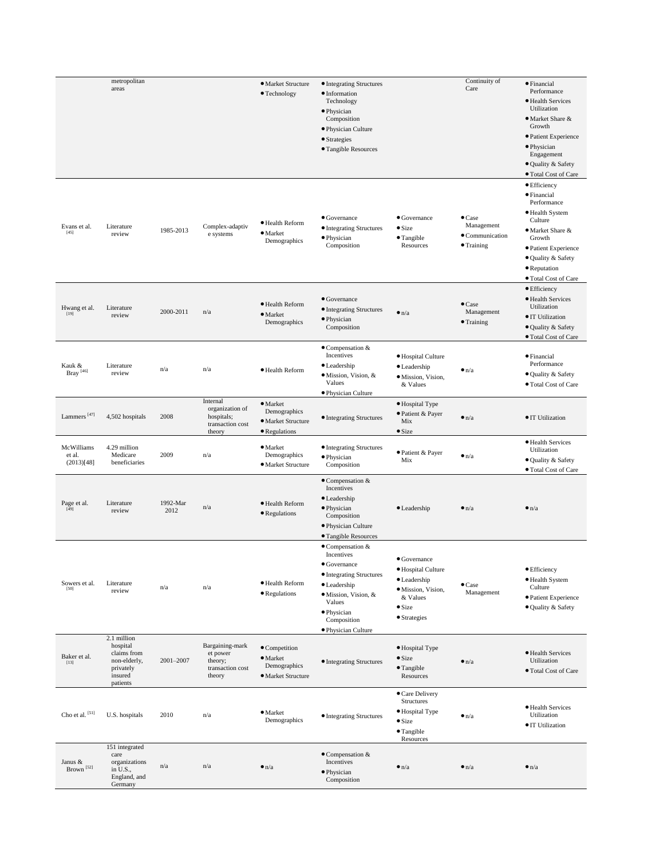|                                    | metropolitan<br>areas                                                                      |                  |                                                                         | • Market Structure<br>$\bullet$ Technology                                      | • Integrating Structures<br>$\bullet$ Information<br>Technology<br>· Physician<br>Composition<br>• Physician Culture<br>• Strategies<br>• Tangible Resources                                                      |                                                                                                                                        | Continuity of<br>Care                                                 | ● Financial<br>Performance<br>• Health Services<br>Utilization<br>• Market Share &<br>Growth<br>· Patient Experience<br>· Physician<br>Engagement<br>● Quality & Safety<br>● Total Cost of Care<br>• Efficiency |
|------------------------------------|--------------------------------------------------------------------------------------------|------------------|-------------------------------------------------------------------------|---------------------------------------------------------------------------------|-------------------------------------------------------------------------------------------------------------------------------------------------------------------------------------------------------------------|----------------------------------------------------------------------------------------------------------------------------------------|-----------------------------------------------------------------------|-----------------------------------------------------------------------------------------------------------------------------------------------------------------------------------------------------------------|
| Evans et al.<br>$[45]$             | Literature<br>review                                                                       | 1985-2013        | Complex-adaptiv<br>e systems                                            | · Health Reform<br>$•$ Market<br>Demographics                                   | $\bullet$ Governance<br>• Integrating Structures<br>· Physician<br>Composition                                                                                                                                    | $\bullet$ Governance<br>$\bullet$ Size<br>$\bullet$ Tangible<br>Resources                                                              | $\bullet$ Case<br>Management<br>• Communication<br>$\bullet$ Training | $\bullet$ Financial<br>Performance<br>· Health System<br>Culture<br>• Market Share &<br>Growth<br>• Patient Experience<br>● Quality & Safety<br>• Reputation<br>● Total Cost of Care                            |
| Hwang et al.<br>[19]               | Literature<br>review                                                                       | 2000-2011        | n/a                                                                     | · Health Reform<br>$•$ Market<br>Demographics                                   | $\bullet$ Governance<br>• Integrating Structures<br>· Physician<br>Composition                                                                                                                                    | $\bullet$ n/a                                                                                                                          | $\bullet$ Case<br>Management<br>$\bullet$ Training                    | ● Efficiency<br><b>• Health Services</b><br>Utilization<br>• IT Utilization<br>• Quality & Safety<br>• Total Cost of Care                                                                                       |
| Kauk &<br>Bray <sup>[46]</sup>     | Literature<br>review                                                                       | n/a              | n/a                                                                     | · Health Reform                                                                 | $\bullet$ Compensation &<br>Incentives<br>$\bullet$ Leadership<br>· Mission, Vision, &<br>Values<br>· Physician Culture                                                                                           | · Hospital Culture<br>$\bullet$ Leadership<br>• Mission, Vision,<br>& Values                                                           | $\bullet$ n/a                                                         | $\bullet$ Financial<br>Performance<br>● Quality & Safety<br>• Total Cost of Care                                                                                                                                |
| Lammers <sup>[47]</sup>            | 4,502 hospitals                                                                            | 2008             | Internal<br>organization of<br>hospitals;<br>transaction cost<br>theory | $\bullet$ Market<br>Demographics<br>• Market Structure<br>$\bullet$ Regulations | • Integrating Structures                                                                                                                                                                                          | • Hospital Type<br>● Patient & Payer<br>Mix<br>$\bullet$ Size                                                                          | $\bullet$ n/a                                                         | <b>• IT Utilization</b>                                                                                                                                                                                         |
| McWilliams<br>et al.<br>(2013)[48] | 4.29 million<br>Medicare<br>beneficiaries                                                  | 2009             | n/a                                                                     | $\bullet$ Market<br>Demographics<br>• Market Structure                          | • Integrating Structures<br>· Physician<br>Composition                                                                                                                                                            | ● Patient & Payer<br>Mix                                                                                                               | $\bullet$ n/a                                                         | <b>• Health Services</b><br>Utilization<br>● Quality & Safety<br>● Total Cost of Care                                                                                                                           |
| Page et al.<br>[49]                | Literature<br>review                                                                       | 1992-Mar<br>2012 | n/a                                                                     | · Health Reform<br>• Regulations                                                | $\bullet$ Compensation &<br>Incentives<br>$\bullet$ Leadership<br>• Physician<br>Composition<br>· Physician Culture<br>• Tangible Resources                                                                       | $\bullet$ Leadership                                                                                                                   | $\bullet$ n/a                                                         | $\bullet$ n/a                                                                                                                                                                                                   |
| Sowers et al.<br>[50]              | Literature<br>review                                                                       | n/a              | n/a                                                                     | · Health Reform<br>• Regulations                                                | $\bullet$ Compensation &<br>Incentives<br>$\bullet$ Governance<br>• Integrating Structures<br>$\bullet$ Leadership<br>$\bullet$ Mission, Vision, &<br>Values<br>· Physician<br>Composition<br>· Physician Culture | $\bullet$ Governance<br>· Hospital Culture<br>$\bullet$ Leadership<br>· Mission, Vision,<br>& Values<br>$\bullet$ Size<br>• Strategies | $\bullet$ Case<br>Management                                          | <b>•</b> Efficiency<br>• Health System<br>Culture<br>· Patient Experience<br>● Quality & Safety                                                                                                                 |
| Baker et al. $_{[\![13]\!]}$       | 2.1 million<br>hospital<br>claims from<br>non-elderly,<br>privately<br>insured<br>patients | 2001-2007        | Bargaining-mark<br>et power<br>theory;<br>transaction cost<br>theory    | • Competition<br>$\bullet$ Market<br>Demographics<br>• Market Structure         | • Integrating Structures                                                                                                                                                                                          | · Hospital Type<br>$\bullet$ Size<br>$\bullet$ Tangible<br>Resources                                                                   | $\bullet$ n/a                                                         | · Health Services<br>Utilization<br>● Total Cost of Care                                                                                                                                                        |
| Cho et al. <sup>[51]</sup>         | U.S. hospitals                                                                             | 2010             | n/a                                                                     | $•$ Market<br>Demographics                                                      | • Integrating Structures                                                                                                                                                                                          | • Care Delivery<br>Structures<br>• Hospital Type<br>$\bullet$ Size<br>$\bullet$ Tangible<br>Resources                                  | $\bullet$ n/a                                                         | · Health Services<br>Utilization<br><b>• IT Utilization</b>                                                                                                                                                     |
| Janus &<br>Brown <sup>[52]</sup>   | 151 integrated<br>care<br>organizations<br>in U.S.,<br>England, and<br>Germany             | n/a              | n/a                                                                     | $\bullet$ n/a                                                                   | $\bullet$ Compensation &<br>Incentives<br>· Physician<br>Composition                                                                                                                                              | $\bullet$ n/a                                                                                                                          | $\bullet$ n/a                                                         | $\bullet$ n/a                                                                                                                                                                                                   |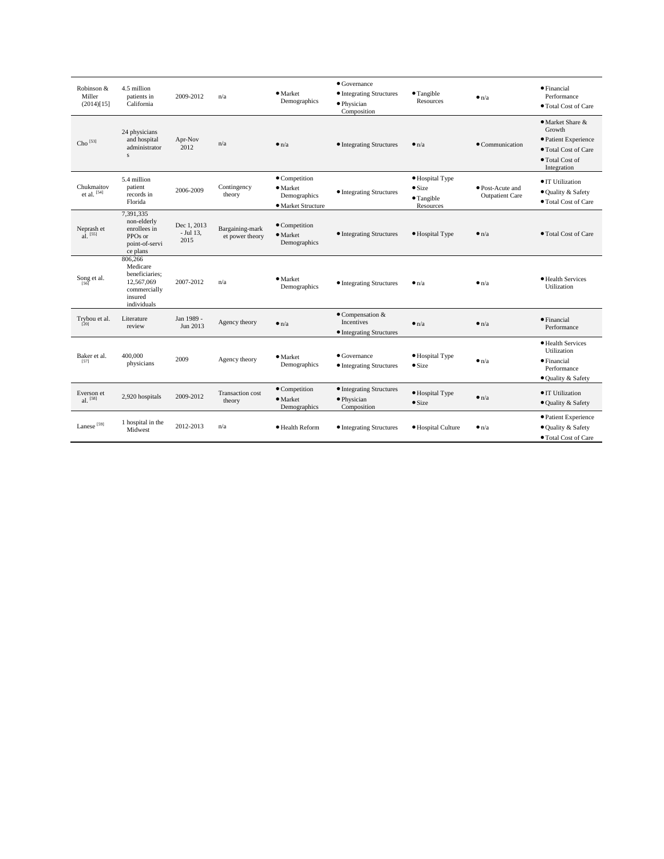| Robinson &<br>Miller<br>(2014)[15] | 4.5 million<br>patients in<br>California                                                      | 2009-2012                        | n/a                                | $\bullet$ Market<br>Demographics                                                | $\bullet$ Governance<br>• Integrating Structures<br>· Physician<br>Composition | $\bullet$ Tangible<br>Resources                                      | $\bullet$ n/a                              | $\bullet$ Financial<br>Performance<br>● Total Cost of Care                                                   |
|------------------------------------|-----------------------------------------------------------------------------------------------|----------------------------------|------------------------------------|---------------------------------------------------------------------------------|--------------------------------------------------------------------------------|----------------------------------------------------------------------|--------------------------------------------|--------------------------------------------------------------------------------------------------------------|
| $Cho$ <sup>[53]</sup>              | 24 physicians<br>and hospital<br>administrator<br>s                                           | Apr-Nov<br>2012                  | n/a                                | $\bullet$ n/a                                                                   | • Integrating Structures                                                       | $\bullet$ n/a                                                        | • Communication                            | • Market Share &<br>Growth<br>· Patient Experience<br>• Total Cost of Care<br>● Total Cost of<br>Integration |
| Chukmaitov<br>et al. $^{[54]}$     | 5.4 million<br>patient<br>records in<br>Florida                                               | 2006-2009                        | Contingency<br>theory              | $\bullet$ Competition<br>$\bullet$ Market<br>Demographics<br>· Market Structure | • Integrating Structures                                                       | · Hospital Type<br>$\bullet$ Size<br>$\bullet$ Tangible<br>Resources | • Post-Acute and<br><b>Outpatient Care</b> | • IT Utilization<br>· Quality & Safety<br>• Total Cost of Care                                               |
| Neprash et<br>$a^{\hat{1}}$ . [55] | 7,391,335<br>non-elderly<br>enrollees in<br>PPO <sub>s</sub> or<br>point-of-servi<br>ce plans | Dec 1, 2013<br>- Jul 13,<br>2015 | Bargaining-mark<br>et power theory | $\bullet$ Competition<br>$\bullet$ Market<br>Demographics                       | • Integrating Structures                                                       | · Hospital Type                                                      | $\bullet$ n/a                              | • Total Cost of Care                                                                                         |
| Song et al.<br>[56]                | 806,266<br>Medicare<br>beneficiaries;<br>12,567,069<br>commercially<br>insured<br>individuals | 2007-2012                        | n/a                                | $\bullet$ Market<br>Demographics                                                | • Integrating Structures                                                       | $\bullet$ n/a                                                        | $\bullet$ n/a                              | · Health Services<br>Utilization                                                                             |
| Trybou et al.<br>[20]              | Literature<br>review                                                                          | Jan 1989 -<br>Jun 2013           | Agency theory                      | $\bullet$ n/a                                                                   | $\bullet$ Compensation &<br>Incentives<br>• Integrating Structures             | $\bullet$ n/a                                                        | $\bullet$ n/a                              | $\bullet$ Financial<br>Performance                                                                           |
| Baker et al.<br>[57]               | 400.000<br>physicians                                                                         | 2009                             | Agency theory                      | $\bullet$ Market<br>Demographics                                                | $\bullet$ Governance<br>• Integrating Structures                               | · Hospital Type<br>$\bullet$ Size                                    | $\bullet$ n/a                              | <b>• Health Services</b><br>Utilization<br>$\bullet$ Financial<br>Performance<br>• Quality & Safety          |
| Everson et<br>al. $^{[58]}$        | 2,920 hospitals                                                                               | 2009-2012                        | <b>Transaction cost</b><br>theory  | $\bullet$ Competition<br>$\bullet$ Market<br>Demographics                       | • Integrating Structures<br>· Physician<br>Composition                         | • Hospital Type<br>$\bullet$ Size                                    | $\bullet$ n/a                              | • IT Utilization<br>• Quality & Safety                                                                       |
| Lanese <sup>[59]</sup>             | 1 hospital in the<br>Midwest                                                                  | 2012-2013                        | n/a                                | ● Health Reform                                                                 | • Integrating Structures                                                       | · Hospital Culture                                                   | $\bullet$ n/a                              | · Patient Experience<br>• Quality & Safety<br>• Total Cost of Care                                           |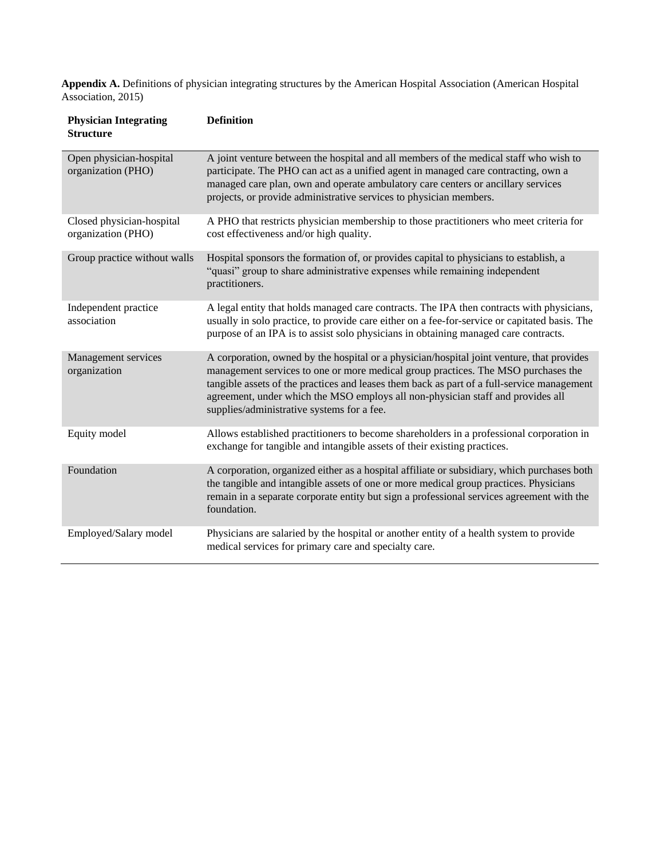**Appendix A.** Definitions of physician integrating structures by the American Hospital Association (American Hospital Association, 2015)

| <b>Physician Integrating</b><br><b>Structure</b> | <b>Definition</b>                                                                                                                                                                                                                                                                                                                                                                                             |
|--------------------------------------------------|---------------------------------------------------------------------------------------------------------------------------------------------------------------------------------------------------------------------------------------------------------------------------------------------------------------------------------------------------------------------------------------------------------------|
| Open physician-hospital<br>organization (PHO)    | A joint venture between the hospital and all members of the medical staff who wish to<br>participate. The PHO can act as a unified agent in managed care contracting, own a<br>managed care plan, own and operate ambulatory care centers or ancillary services<br>projects, or provide administrative services to physician members.                                                                         |
| Closed physician-hospital<br>organization (PHO)  | A PHO that restricts physician membership to those practitioners who meet criteria for<br>cost effectiveness and/or high quality.                                                                                                                                                                                                                                                                             |
| Group practice without walls                     | Hospital sponsors the formation of, or provides capital to physicians to establish, a<br>"quasi" group to share administrative expenses while remaining independent<br>practitioners.                                                                                                                                                                                                                         |
| Independent practice<br>association              | A legal entity that holds managed care contracts. The IPA then contracts with physicians,<br>usually in solo practice, to provide care either on a fee-for-service or capitated basis. The<br>purpose of an IPA is to assist solo physicians in obtaining managed care contracts.                                                                                                                             |
| Management services<br>organization              | A corporation, owned by the hospital or a physician/hospital joint venture, that provides<br>management services to one or more medical group practices. The MSO purchases the<br>tangible assets of the practices and leases them back as part of a full-service management<br>agreement, under which the MSO employs all non-physician staff and provides all<br>supplies/administrative systems for a fee. |
| Equity model                                     | Allows established practitioners to become shareholders in a professional corporation in<br>exchange for tangible and intangible assets of their existing practices.                                                                                                                                                                                                                                          |
| Foundation                                       | A corporation, organized either as a hospital affiliate or subsidiary, which purchases both<br>the tangible and intangible assets of one or more medical group practices. Physicians<br>remain in a separate corporate entity but sign a professional services agreement with the<br>foundation.                                                                                                              |
| Employed/Salary model                            | Physicians are salaried by the hospital or another entity of a health system to provide<br>medical services for primary care and specialty care.                                                                                                                                                                                                                                                              |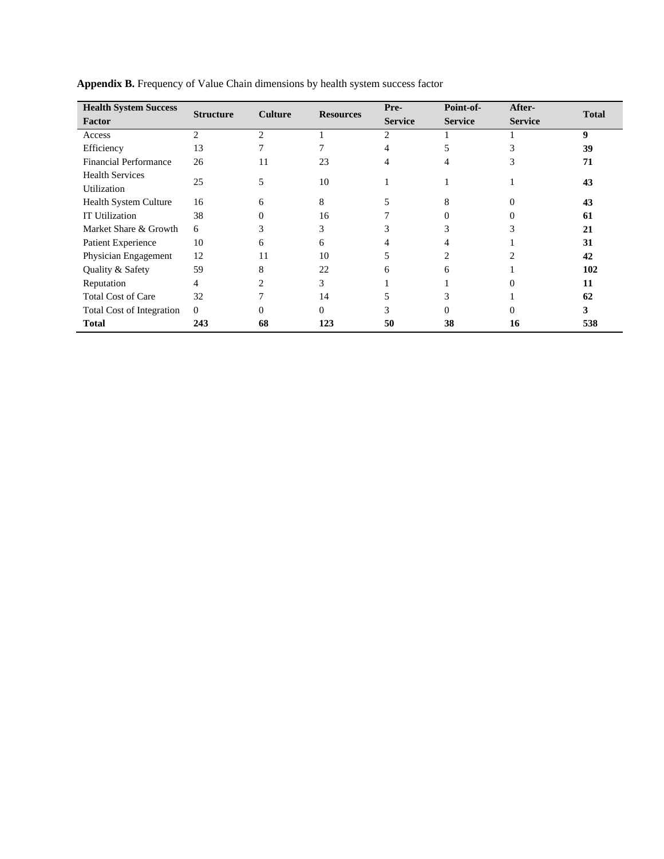| <b>Health System Success</b>          |                  | <b>Culture</b> |                  | Pre-           | Point-of-      | After-         | <b>Total</b> |
|---------------------------------------|------------------|----------------|------------------|----------------|----------------|----------------|--------------|
| Factor                                | <b>Structure</b> |                | <b>Resources</b> | <b>Service</b> | <b>Service</b> | <b>Service</b> |              |
| Access                                | 2                | $\overline{c}$ |                  | 2              |                |                | 9            |
| Efficiency                            | 13               |                |                  | 4              |                | 3              | 39           |
| <b>Financial Performance</b>          | 26               | 11             | 23               | 4              | 4              | 3              | 71           |
| <b>Health Services</b><br>Utilization | 25               | 5              | 10               |                |                |                | 43           |
| Health System Culture                 | 16               | 6              | 8                | 5              | 8              |                | 43           |
| IT Utilization                        | 38               | 0              | 16               |                |                |                | 61           |
| Market Share & Growth                 | 6                | 3              | 3                |                |                | 3              | 21           |
| Patient Experience                    | 10               | 6              | 6                |                |                |                | 31           |
| Physician Engagement                  | 12               | 11             | 10               | 5              | っ              |                | 42           |
| Quality & Safety                      | 59               | 8              | 22               | 6              | 6              |                | 102          |
| Reputation                            | 4                | っ              | 3                |                |                |                | 11           |
| <b>Total Cost of Care</b>             | 32               |                | 14               |                |                |                | 62           |
| <b>Total Cost of Integration</b>      | $\Omega$         | 0              | $\Omega$         | 3              | 0              | $\Omega$       | 3            |
| <b>Total</b>                          | 243              | 68             | 123              | 50             | 38             | 16             | 538          |

**Appendix B.** Frequency of Value Chain dimensions by health system success factor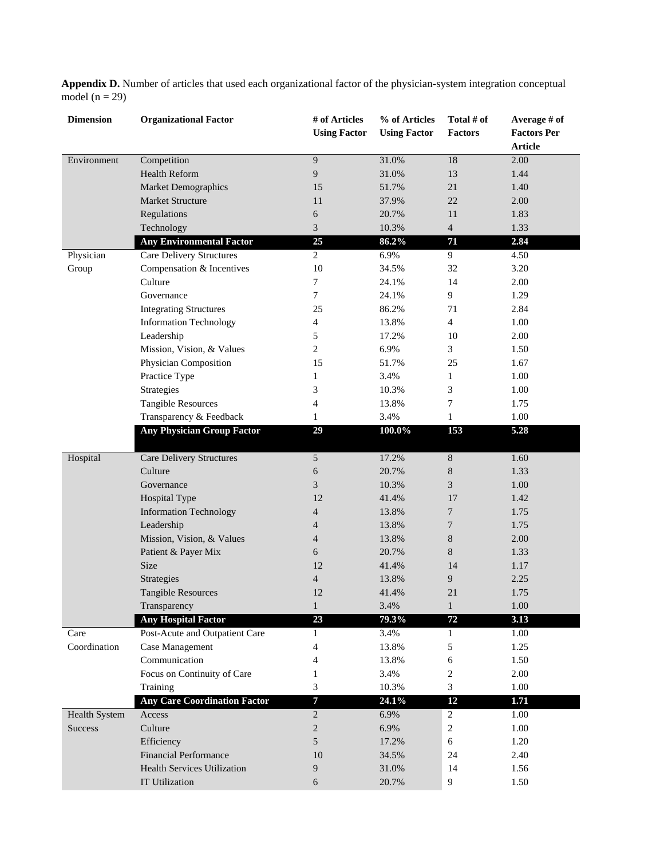| <b>Dimension</b>     | <b>Organizational Factor</b>        | # of Articles<br><b>Using Factor</b> | % of Articles<br><b>Using Factor</b> | Total # of<br><b>Factors</b> | Average # of<br><b>Factors Per</b><br>Article |
|----------------------|-------------------------------------|--------------------------------------|--------------------------------------|------------------------------|-----------------------------------------------|
| Environment          | Competition                         | 9                                    | 31.0%                                | 18                           | 2.00                                          |
|                      | <b>Health Reform</b>                | $\overline{9}$                       | 31.0%                                | 13                           | 1.44                                          |
|                      | <b>Market Demographics</b>          | 15                                   | 51.7%                                | 21                           | 1.40                                          |
|                      | <b>Market Structure</b>             | 11                                   | 37.9%                                | 22                           | 2.00                                          |
|                      | Regulations                         | 6                                    | 20.7%                                | 11                           | 1.83                                          |
|                      | Technology                          | $\mathfrak{Z}$                       | 10.3%                                | $\overline{4}$               | 1.33                                          |
|                      | <b>Any Environmental Factor</b>     | 25                                   | 86.2%                                | 71                           | 2.84                                          |
| Physician            | Care Delivery Structures            | $\overline{2}$                       | 6.9%                                 | 9                            | 4.50                                          |
| Group                | Compensation & Incentives           | 10                                   | 34.5%                                | 32                           | 3.20                                          |
|                      | Culture                             | 7                                    | 24.1%                                | 14                           | 2.00                                          |
|                      | Governance                          | $\tau$                               | 24.1%                                | 9                            | 1.29                                          |
|                      | <b>Integrating Structures</b>       | 25                                   | 86.2%                                | 71                           | 2.84                                          |
|                      | <b>Information Technology</b>       | 4                                    | 13.8%                                | $\overline{4}$               | 1.00                                          |
|                      | Leadership                          | 5                                    | 17.2%                                | 10                           | 2.00                                          |
|                      | Mission, Vision, & Values           | $\overline{c}$                       | 6.9%                                 | 3                            | 1.50                                          |
|                      | Physician Composition               | 15                                   | 51.7%                                | 25                           | 1.67                                          |
|                      | Practice Type                       | 1                                    | 3.4%                                 | $\mathbf{1}$                 | 1.00                                          |
|                      | Strategies                          | 3                                    | 10.3%                                | 3                            | 1.00                                          |
|                      | <b>Tangible Resources</b>           | $\overline{\mathcal{A}}$             | 13.8%                                | 7                            | 1.75                                          |
|                      | Transparency & Feedback             | $\mathbf{1}$                         | 3.4%                                 | $\mathbf{1}$                 | 1.00                                          |
|                      | <b>Any Physician Group Factor</b>   | 29                                   | 100.0%                               | 153                          | 5.28                                          |
| Hospital             | <b>Care Delivery Structures</b>     | 5                                    | 17.2%                                | $8\,$                        | 1.60                                          |
|                      | Culture                             | 6                                    | 20.7%                                | 8                            | 1.33                                          |
|                      | Governance                          | 3                                    | 10.3%                                | 3                            | 1.00                                          |
|                      | Hospital Type                       | 12                                   | 41.4%                                | 17                           | 1.42                                          |
|                      | <b>Information Technology</b>       | $\overline{4}$                       | 13.8%                                | 7                            | 1.75                                          |
|                      | Leadership                          | $\overline{4}$                       | 13.8%                                | 7                            | 1.75                                          |
|                      | Mission, Vision, & Values           | 4                                    | 13.8%                                | 8                            | 2.00                                          |
|                      | Patient & Payer Mix                 | 6                                    | 20.7%                                | 8                            | 1.33                                          |
|                      | Size                                | 12                                   | 41.4%                                | 14                           | 1.17                                          |
|                      | Strategies                          | $\overline{4}$                       | 13.8%                                | 9                            | 2.25                                          |
|                      | <b>Tangible Resources</b>           | 12                                   | 41.4%                                | 21                           | 1.75                                          |
|                      | Transparency                        | $\mathbf{1}$                         | 3.4%                                 | $\mathbf{1}$                 | 1.00                                          |
|                      | <b>Any Hospital Factor</b>          | 23                                   | 79.3%                                | 72                           | 3.13                                          |
| Care                 | Post-Acute and Outpatient Care      | $\mathbf{1}$                         | 3.4%                                 | $\mathbf{1}$                 | 1.00                                          |
| Coordination         | Case Management                     | 4                                    | 13.8%                                | 5                            | 1.25                                          |
|                      | Communication                       | 4                                    | 13.8%                                | 6                            | 1.50                                          |
|                      | Focus on Continuity of Care         | 1                                    | 3.4%                                 | 2                            | 2.00                                          |
|                      | Training                            | 3                                    | 10.3%                                | 3                            | 1.00                                          |
|                      | <b>Any Care Coordination Factor</b> | $\overline{7}$                       | 24.1%                                | 12                           | 1.71                                          |
| <b>Health System</b> | Access                              | $\overline{c}$                       | 6.9%                                 | $\overline{c}$               | 1.00                                          |
| <b>Success</b>       | Culture                             | $\sqrt{2}$                           | 6.9%                                 | $\boldsymbol{2}$             | 1.00                                          |
|                      | Efficiency                          | $\sqrt{5}$                           | 17.2%                                | $\sqrt{6}$                   | 1.20                                          |
|                      | <b>Financial Performance</b>        | 10                                   | 34.5%                                | 24                           | 2.40                                          |
|                      | <b>Health Services Utilization</b>  | $\boldsymbol{9}$                     | 31.0%                                | 14                           | 1.56                                          |
|                      | <b>IT Utilization</b>               | $\sqrt{6}$                           | 20.7%                                | 9                            | 1.50                                          |

**Appendix D.** Number of articles that used each organizational factor of the physician-system integration conceptual model  $(n = 29)$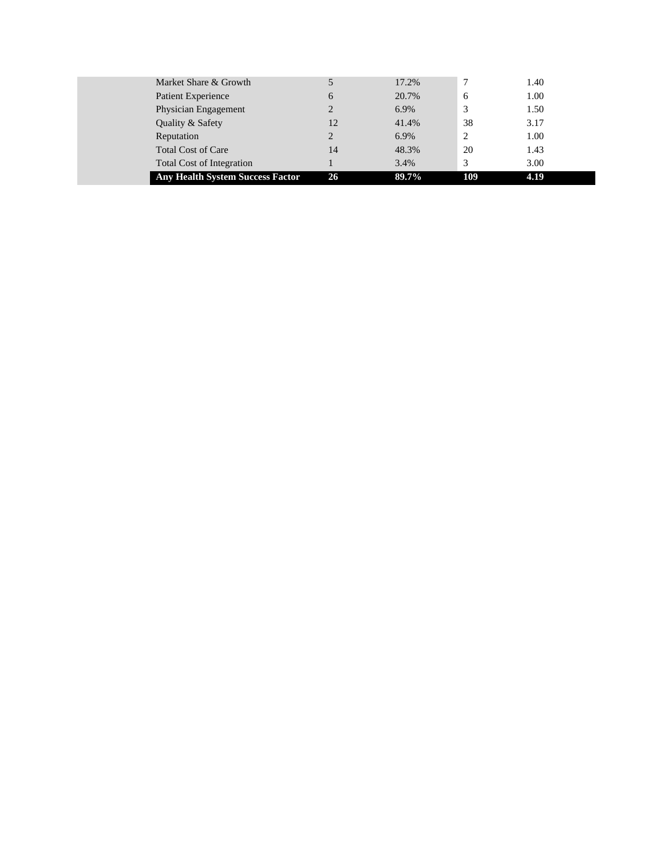| <b>Any Health System Success Factor</b> | 26             | 89.7% | 109 | 4.19 |  |
|-----------------------------------------|----------------|-------|-----|------|--|
| <b>Total Cost of Integration</b>        |                | 3.4%  |     | 3.00 |  |
| <b>Total Cost of Care</b>               | 14             | 48.3% | 20  | 1.43 |  |
| Reputation                              | 2              | 6.9%  | 2   | 1.00 |  |
| Quality & Safety                        | 12             | 41.4% | 38  | 3.17 |  |
| Physician Engagement                    | $\overline{2}$ | 6.9%  | 3   | 1.50 |  |
| <b>Patient Experience</b>               | 6              | 20.7% | 6   | 1.00 |  |
| Market Share & Growth                   |                | 17.2% |     | 1.40 |  |